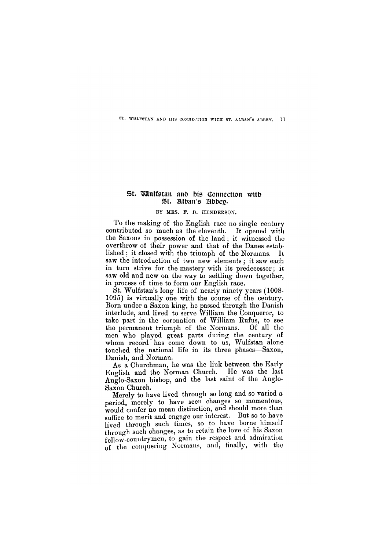**ST. WULF3TAN AND HIS CONNECTION WITH ST. ALBAN'S ABBEY.** 

# St. Wulfstan and his Connection with St. Alban's Abbey.

#### **BY MRS. F. B. HENDERSON.**

To the making of the English race no single century contributed so much as the eleventh. It opened with the Saxons in possession of the land; it witnessed the overthrow of their power and that of the Danes established ; it closed with the triumph of the Normans. It saw the introduction of two new elements; it saw each in turn strive for the mastery with its predecessor; it saw old and new on the way to settling down together, in process of time to form our English race.

Merely to have lived through so long and so varied a period, merely to have seen changes so momentous, would confer no mean distinction, and should more than suffice to merit and engage our interest. But so to have lived through such times, so to have borne himself through such changes, as to retain the love of his Saxon **fellow**-countrymen, to gain the respect and admiration of the conquering Normans, and, finally, with the

St. Wulfstan's long life of nearly ninety years (1008- 1095) is virtually one with the course of the century. Born under a Saxon king, he passed through the Danish interlude, and lived to serve William the Conqueror, to take part in the coronation of William Rufus, to see the permanent triumph of the Normans. Of all the men who played great parts during the century of whom record has come down to us, Wulfstan alone touched the national life in its three phases—Saxon, Danish, and Norman.

As a Churchman, he was the link between the Early English and the Norman Church. He was the last Anglo-Saxon bishop, and the last saint of the Anglo-Saxon Church.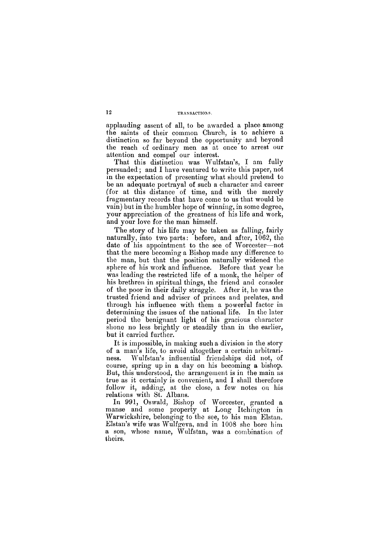#### 12 TRANSACTIONS.

applauding assent of all, to be awarded a place among the saints of their common Church, is to achieve a distinction so far beyond the opportunity and beyond the reach of ordinary men as at once to arrest our attention and compel our interest.

That this distinction was Wulfstan's, I am fully persuaded; and I have ventured to write this paper, not in the expectation of presenting what should pretend to be an adequate portrayal of such a character and career (for at this distance of time, and with the merely fragmentary records that have come to us that would be vain) but in the humbler hope of winning, in some degree, your appreciation of the greatness of his life and work, and your love for the man himself.

The story of his life may be taken as falling, fairly naturally, into two parts: before, and after, 1062, the date of his appointment to the see of Worcester—not that the mere becoming a Bishop made any difference to the man, but that the position naturally widened the sphere of his work and influence. Before that year he was leading the restricted life of a monk, the helper of his brethren in spiritual things, the friend and consoler of the poor in their daily struggle. After it, he was the trusted friend and adviser of princes and prelates, and through his influence with them a powerful factor in determining the issues of the national life. In the later period the benignant light of his gracious character shone no less brightly or steadily than in the earlier, but it carried further.

It is impossible, in making such a division in the story of a man's life, to avoid altogether a certain arbitrariness. Wulfstan's influential friendships did not, of course, spring up in a day on his becoming a bishop. But, this understood, the arrangement is in the main as true as it certainly is convenient, and I shall therefore follow it, adding, at the close, a few notes on his relations with St. Albans.

In 991, Oswald, Bishop of Worcester, granted a manse and some property at Long Itchington in Warwickshire, belonging to the see, to his man Elstan. Elstan's wife was Wulfgeva, and in 1008 she bore him a son, whose name, Wulfstan, was a combination of theirs.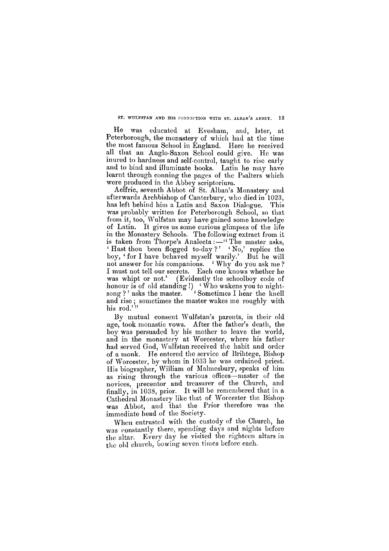Aelfric, seventh Abbot of St. Alban's Monastery and afterwards Archbishop of Canterbury, who died in 1023, has left behind him a Latin and Saxon Dialogue. This was probably written for Peterborough School, so that from it, too, Wulfstan may have gained some knowledge of Latin. It gives us some curious glimpses of the life in the Monastery Schools. The following extract from it is taken from Thorpe's Analecta : $-$ "The master asks, ' Hast thou been flogged to-day ? ' ' No,' replies the boy, ' for I have behaved myself warily.' But he will not answer for his companions. 'Why do you ask me? I must not tell our secrets. Each one knows whether he was whipt or not.' (Evidently the schoolboy code of honour is of old standing !)  $\langle$  Who wakens you to nightsong?' asks the master. <sup>1</sup> Sometimes I hear the knell and rise ; sometimes the master wakes me roughly with his rod."

#### ST. WULFSTAN AND HIS CONNECTION WITH ST. ALBAN'S ABBEY. 13

He was educated at Evesham, and, later, at Peterborough, the monastery of which had at the time the most famous School in England. Here he received all that an Anglo-Saxon School could give. He was inured to hardness and self-control, taught to rise early and to bind and illuminate books. Latin he may have learnt through conning the pages of the Psalters which were produced in the Abbey scriptorium.

By mutual consent Wulfstan's parents, in their old age, took monastic vows. After the father's death, the boy was persuaded by his mother to leave the world, and in the monastery at Worcester, where his father had served God, Wulfstan received the habit and order of a monk. He entered the service of Brihtege, Bishop of Worcester, by whom in 1033 he was ordained priest. His biographer, William of Malmesbury, speaks of him as rising through the various offices—master of the novices, precentor and treasurer of the Church, and finally, in 1038, prior. It will be remembered that in a Cathedral Monastery like that of Worcester the Bishop was Abbot, and that the Prior therefore was the immediate head of the Society.

When entrusted with the custody of the Church, he was constantly there, spending days and nights before the altar. Every day he visited the eighteen altars in the old church, bowing seven times before each.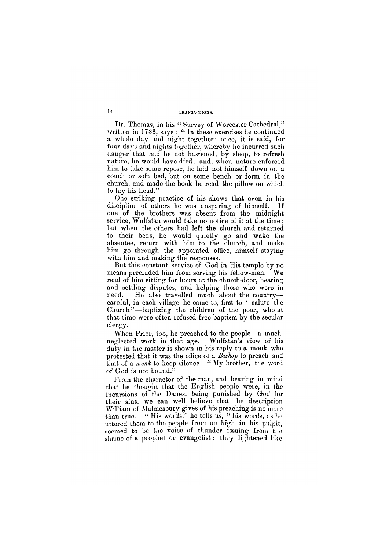# **14 TRANSACTIONS.**

Dr. Thomas, in his "Survey of Worcester Cathedral," written in 1736, says: "In these exercises he continued a whole day and night together; once, it is said, for four days and nights together, whereby he incurred such clanger that had he not hastened, by sleep, to refresh nature, he would have died; and, when nature enforced him to take some repose, he laid not himself down on a couch or soft bed, but on some bench or form in the church, and made the book he read the pillow on which to lay his head."

One striking practice of his shows that even in his discipline of others he was unsparing of himself. If one of the brothers was absent from the midnight service, Wulfstan would take no notice of it at the time ; but when the others had left the church and returned to their beds, he would quietly go and wake the absentee, return with him to the church, and make him go through the appointed office, himself staying with him and making the responses.

But this constant service of God in His temple by no means precluded him from serving his fellow-men. We read of him sitting for hours at the church-door, hearing and settling disputes, and helping those who were in need. He also travelled much about the country careful, in each village he came to, first to "salute the Church"—baptizing the children of the poor, who at that time were often refused free baptism by the secular clergy.

When Prior, too, he preached to the people—a muchneglected work in that age. Wulfstan's view of his duty in the matter is shown in his reply to a monk who protested that it was the office of a *Bishop* to preach and that of a *monk* to keep silence : " My brother, the word of God is not bound."

From the character of the man, and bearing in mind that he thought that the English people were, in the incursions of the Danes, being punished by God for their sins, we can well believe that the description William of Malmesbury gives of his preaching is no more than true. " His words," he tells us, " his words, as he uttered them to the people from on high in his pulpit, seemed to be the voice of thunder issuing from the shrine of a prophet or evangelist: they lightened like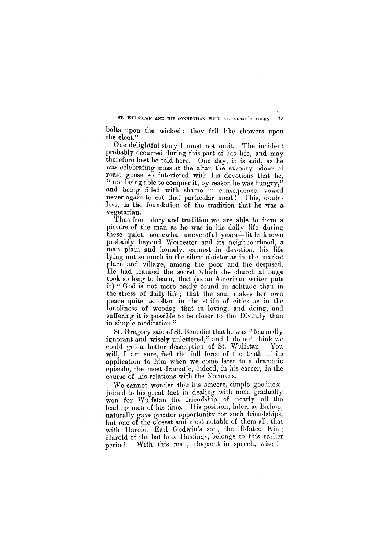bolts upon the wicked: they fell like showers upon the elect."

One delightful story I must not omit. The incident probably occurred during this part of his life, and may therefore best be told here. One day, it is said, as he was celebrating mass at the altar, the savoury odour of roast goose so interfered with his devotions that he, " not being able to conquer it, by reason he was hungry," and being filled with shame in consequence, vowed never again to eat that particular meat! This, doubtless, is the foundation of the tradition that he was a vegetarian.

Thus from story and tradition we are able to form a picture of the man as he was in his daily life during these quiet, somewhat uneventful years—little known probably beyond Worcester and its neighbourhood, a man plain and homely, earnest in devotion, his life lying not so much in the silent cloister as in the market place and village, among the poor and the despised. He had learned the secret which the church at large took so long to learn, that (as an American writer puts it) "God is not more easily found in solitude than in the stress of daily life ; that the soul makes her own peace quite as often in the strife of cities as in the loneliness of woods; that in loving, and doing, and suffering it is possible to be closer to the Divinity than in simple meditation."

St. Gregory said of St. Benedict that he was " learnedly ignorant and wisely unlettered," and I do not think we could get a better description of St. Wulfstan. You will, I am sure, feel the full force of the truth of its application to him when we come later to a dramatic episode, the most dramatic, indeed, in his career, in the course of his relations with the Normans.

We cannot wonder that his sincere, simple goodness, joined to his great tact in dealing with men, gradually won for Wulfstan the friendship of nearly all the leading men of his time. His position, later, as Bishop, naturally gave greater opportunity for such friendships, but one of the closest and most notable of them all, that with Harold, Earl Godwin's son, the ill-fated King Harold of the battle of Hastings, belongs to this earlier period. With this man, eloquent in speech, wise in

**s t . wulfsta n an d hi s connectio n wit h st . alban' s abbey . 15**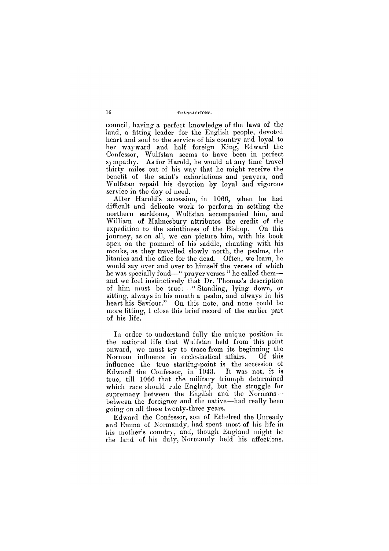council, having a perfect knowledge of the laws of the land, a fitting leader for the English people, devoted heart and soul to the service of his country and loyal to her wayward and half foreign King, Edward the Confessor, Wulfstan seems to have been in perfect sympathy. As for Harold, he would at any time travel thirty miles out of his way that he might receive the benefit of the saint's exhortations and prayers, and Wulfstan repaid his devotion by loyal and vigorous service in the day of need.

After Harold's accession, in 1066, when he had difficult and delicate work to perform in settling the northern earldoms, Wulfstan accompanied him, and William of Malmesbury attributes the credit of the expedition to the saintliness of the Bishop. On this journey, as on all, we can picture him, with his book open on the pommel of his saddle, chanting with his monks, as they travelled slowly north, the psalms, the litanies and the office for the dead. Often, we learn, he would say over and over to himself the verses of which he was specially fond—" prayer verses " he called them and we feel instinctively that Dr. Thomas's description of him must be true:—"Standing, lying down, or sitting, always in his mouth a psalm, and always in his heart his Saviour." On this note, and none could be more fitting, I close this brief record of the earlier part of his life.

In order to understand fully the unique position in the national life that Wulfstan held from this point onward, we must try to trace from its beginning the Norman influence in ecclesiastical affairs. Of this influence the true starting-point is the accession of Edward the Confessor, in 1043. It was not, it is true, till 1066 that the military triumph determined which race should rule England, but the struggle for supremacy between the English and the Normans between the foreigner and the native—had really been going on all these twenty-three years.

Edward the Confessor, son of Ethelred the Unready and Emma of Normandy, had spent most of his life in his mother's country, and, though England might be the land of his duty, Normandy held his affections.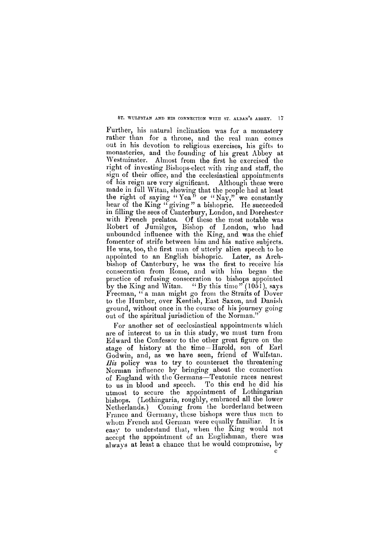#### **s t . wulfsta n an d hi s connectio n wit h st . alban' s abbey . 17**

For another set of ecclesiastical appointments which are of interest to us in this study, we must turn from Edward the Confessor to the other great figure on the stage of history at the time —Harold, son of Earl Godwin, and, as we have seen, friend of Wulfstan. *His* policy was to try to counteract the threatening Norman influence by bringing about the connection of England with the Germans—Teutonic races nearest to us in blood and speech. To this end he did his utmost to secure the appointment of Lothingarian bishops. (Lothingaria, roughly, embraced all the lower Netherlands.) Coming from the borderland between France and Germany, these bishops were thus men to whom French and German were equally familiar. It is easy to understand that, when the King would not accept the appointment of an Englishman, there was always at least a chance that he would compromise, by  $\mathbf{c}^{\top}$ 

Further, his natural inclination was for a monastery rather than for a throne, and the real man comes out in his devotion to religious exercises, his gifts to monasteries, and the founding of his great Abbey at Westminster. Almost from the first he exercised the right of investing Bishops-elect with ring and staff, the sign of their office, and the ecclesiastical appointments of his reign are very significant. Although these were made in full Witan, showing that the people had at least the right of saying " $\text{Year}$ " or " $\text{Nav.}$ " we constantly hear of the King " giving" a bishopric. He succeeded in filling the sees of Canterbury, London, and Dorchester with French prelates. Of these the most notable was Robert of Jumieges, Bishop of London, who had unbounded influence with the King, and was the chief fomenter of strife between him and his native subjects. He was, too, the first man of utterly alien speech to be appointed to an English bishopric. Later, as Archbishop of Canterbury, he was the first to receive his consecration from Rome, and with him began the practice of refusing consecration to bishops appointed by the King and Witan.  $\lq$  "By this time" (1051), says Freeman, " a man might go from the Straits of Dover to the Humber, over Kentish, East Saxon, and Danish ground, without once in the course of his journey going out of the spiritual jurisdiction of the Norman."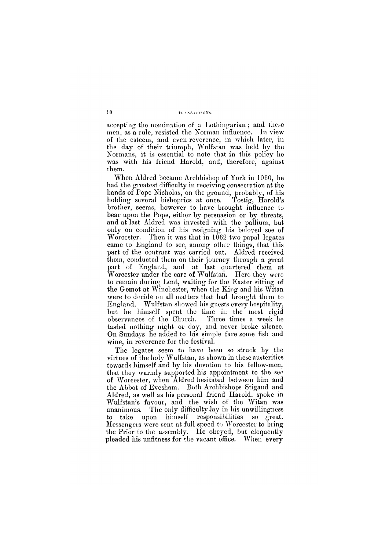# 18 **transactions**.

accepting the nomination of a Lothingarian ; and these men, as a rule, resisted the Norman influence. In view of the esteem, and even reverence, in which later, in the day of their triumph, Wulfstan was held by the Normans, it is essential to note that in this policy he was with his friend Harold, and, therefore, against them.

When Aldred became Archbishop of York in 1060, he had the greatest difficulty in receiving consecration at the hands of Pope Nicholas, on the ground, probably, of his holding several bishoprics at once. Tostig, Harold's brother, seems, however to have brought influence to bear upon the Pope, either by persuasion or by threats, and at last Aldred was invested with the pallium, but only on condition of his resigning his beloved see of Worcester. Then it was that in 1062 two papal legates came to England to see, among other things, that this part of the contract was carried out. Aldred received them, conducted them on their journey through a great part of England, and at last quartered them at Worcester under the care of Wulfstan. Here they were to remain during Lent, waiting for the Easter sitting of the Gemot at Winchester, when the King and his Witan were to decide on all matters that had brought them to England. Wulfstan showed his guests every hospitality, but he himself spent the time in the most rigid observances of the Church. Three times a week he tasted nothing night or day, and never broke silence. On Sundays he added to his simple fare some fish and wine, in reverence for the festival.

The legates seem to have been so struck by the virtues of the holy Wulfstan, as shown in these austerities towards himself and by his devotion to his fellow-men, that they warmly supported his appointment to the see of Worcester, when Aldred hesitated between him and the Abbot of Evesham. Both Archbishops Stigand and Aldred, as well as his personal friend Harold, spoke in Wulfstan's favour, and the wish of the Witan was unanimous. The only difficulty lay in his unwillingness to take upon himself responsibilities so great. Messengers were sent at full speed to Worcester to bring the Prior to the assembly. He obeyed, but eloquently pleaded his unfitness for the vacant office. When every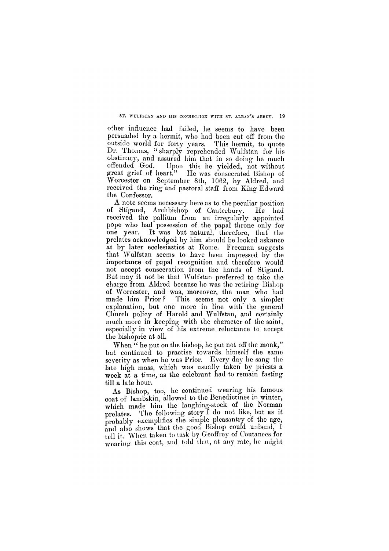**s t . wulfsta n an d hs connectio n wit h st . alban' s abbey . 19** 

other influence had failed, he seems to have been persuaded by a hermit, who had been cut off from the outside world for forty years. This hermit, to quote Dr. Thomas, "sharply reprehended Wulfstan for his obstinacy, and assured him that in so doing he much offended God. Upon this he yielded, not without great grief of heart." He was consecrated Bishop of Worcester on September 8th, 1062, by Aldred, and received the ring and pastoral staff from King Edward the Confessor.

When " he put on the bishop, he put not off the monk," but continued to practise towards himself the same severity as when he was Prior. Every day he sang the late high mass, which was usually taken by priests a week at a time, as the celebrant had to remain fasting till a late hour.

A note seems necessary here as to the peculiar position of Stigand, Archbishop of Canterbury. He had received the pallium from an irregularly appointed pope who had possession of the papal throne only for one year. It was but natural, therefore, that the prelates acknowledged by him should be looked askance at by later ecclesiastics at Rome. Freeman suggests that Wulfstan seems to have been impressed by the importance of papal recognition and therefore would not accept consecration from the hands of Stigand. But may it not be that Wulfstan preferred to take the charge from Aldred because he was the retiring Bishop of Worcester, and was, moreover, the man who had made him Prior ? This seems not only a simpler explanation, but one more in line with the general Church policy of Harold and Wulfstan, and certainly much more in keeping with the character of the saint, especially in view of his extreme reluctance to accept the bishopric at all.

As Bishop, too, he continued wearing his famous coat of lambskin, allowed to the Benedictines in winter, which made him the laughing-stock of the Norman prelates. The following story I do not like, but as it probably exemplifies the simple pleasantry of the age, and also shows that the good Bishop could unbend,  $\acute{I}$ tell it. When taken to task by Geoffrey of Coutances for wearing this coat, and told that, at any rate, he might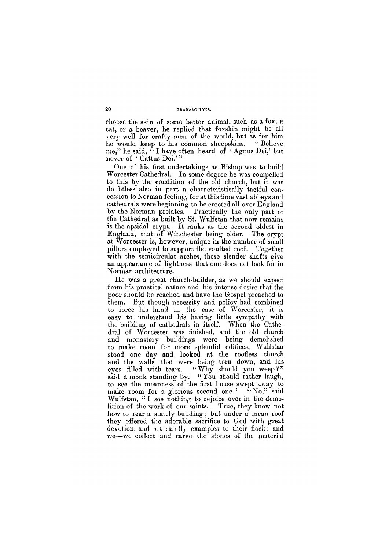choose the skin of some better animal, such as a fox, a cat, or a beaver, he replied that foxskin might be all very well for crafty men of the world, but as for him he would keep to his common sheepskins. "Believe me," he said, " I have often heard of ' Agnus Dei,' but never of 'Cattus Dei.'"

One of his first undertakings as Bishop was to build Worcester Cathedral. In some degree he was compelled to this by the condition of the old church, but it was doubtless also in part a characteristically tactful concession to Norman feeling, for at this time vast abbeys and cathedrals were beginning to be erected all over England by the Norman prelates. Practically the only part of the Cathedral as built by St. Wulfstan that now remains is the apsidal crypt. It ranks as the second oldest in England, that of Winchester being older. The crypt at Worcester is, however, unique in the number of small pillars employed to support the vaulted roof. Together with the semicircular arches, these slender shafts give an appearance of lightness that one does not look for in Norman architecture.

He was a great church-builder, as we should expect from his practical nature and his intense desire that the poor should be reached and have the Gospel preached to them. But though necessity and policy had combined to force his hand in the case of Worcester, it is easy to understand his having little sympathy with the building of cathedrals in itself. When the Cathedral of Worcester was finished, and the old church and monastery buildings were being demolished to make room for more splendid edifices, Wulfstan stood one day and looked at the roofless church and the walls that were being torn down, and his eyes filled with tears. "Why should you weep?" said a monk standing by. "You should rather laugh, to see the meanness of the first house swept away to make room for a glorious second one."  $N_0$ ," said Wulfstan, "I see nothing to rejoice over in the demolition of the work of our saints. True, they knew not how to rear a stately building; but under a mean roof

they offered the adorable sacrifice to God with great devotion, and set saintly examples to their flock; and we—we collect and carve the stones of the material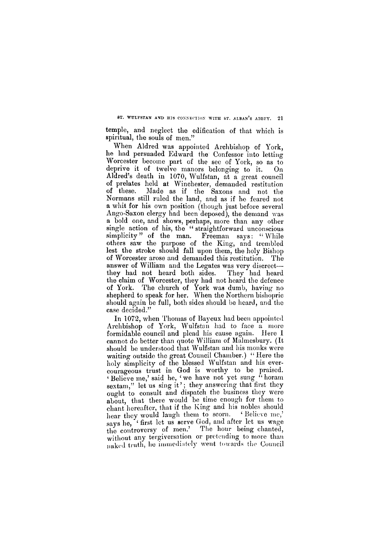8T. WULFSTAN AND HIS CONNECTION WITH ST. ALBAN'S ABBEY. 21

temple, and neglect the edification of that which is spiritual, the souls of men."

When Aldred was appointed Archbishop of York, he had persuaded Edward the Confessor into letting Worcester become part of the see of York, so as to deprive it of twelve manors belonging to it. On Aldred's death in 1070, Wulfstan, at a great council of prelates held at Winchester, demanded restitution of these. Made as if the Saxons and not the Normans still ruled the land, and as if he feared not a whit for his own position (though just before several Ango-Saxon clergy had been deposed), the demand was a bold one, and shows, perhaps, more than any other single action of his, the " straightforward unconscious simplicity" of the man. Freeman says: "While others saw the purpose of the King, and trembled lest the stroke should fall upon them, the holy Bishop of Worcester arose and demanded this restitution. The answer of William and the Legates was very discreet they had not heard both sides. They had heard the claim of Worcester, they had not heard the defence of York. The church of York was dumb, having no shepherd to speak for her. When the Northern bishopric should again be full, both sides should be heard, and the case decided."

In 1072, when Thomas of Bayeux had been appointed Archbishop of York, Wulfstan had to face a more formidable council and plead his cause again. Here I cannot do better than quote William of Malmesbury. (It should be understood that Wulfstan and his monks were waiting outside the great Council Chamber.) "Here the holy simplicity of the blessed Wulfstan and his evercourageous trust in God is worthy to be praised. <sup>4</sup> Believe me,' said he, <sup>4</sup> we have not yet sung " horam sextam," let us sing it'; they answering that first they ought to consult and dispatch the business they were about, that there would be time enough for them to chant hereafter, that if the King and his nobles should hear they would laugh them to scorn. <sup>4</sup> Believe me,' says he, "first let us serve God, and after let us wage the controversy of men.' The hour being chanted, without any tergiversation or pretending to more than naked truth, he immediately went towards the Council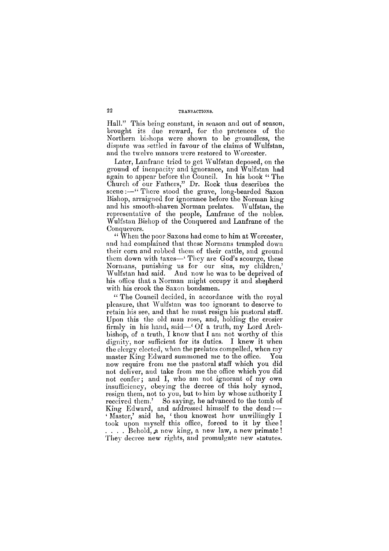22

Hall." This being constant, in season and out of season, brought its due reward, for the pretences of the Northern bishops were shown to be groundless, the dispute was settled in favour of the claims of Wulfstan, and the twelve manors were restored to Worcester.

Later, Lanfranc tried to get Wulfstan deposed, on the ground of incapacity and ignorance, and Wulfstan had again to appear before the Council. In his book "The Church of our Fathers," Dr. Rock thus describes the scene:—"There stood the grave, long-bearded Saxon Bishop, arraigned for ignorance before the Norman king and his smooth-shaven Norman prelates. Wulfstan, the representative of the people, Lanfranc of the nobles. Wulfstan Bishop of the Conquered and Lanfranc of the Conquerors.

" The Council decided, in accordance with the royal pleasure, that Wulfstan was too ignorant to deserve to retain his see, and that he must resign his pastoral staff. Upon this the old man rose, and, holding the crosier firmly in his hand, said—' Of a truth, my Lord Archbishop, of a truth, I know that I am not worthy of this dignity, nor sufficient for its duties. I knew it when the clergy elected, when the prelates compelled, when my master King Edward summoned me to the office. You now require from me the pastoral staff which you did not deliver, and take from me the office which you did not confer; and I, who am not ignorant of my own insufficiency, obeying the decree of this holy synod, resign them, not to you, but to him by whose authority I received them.' So saying, he advanced to the tomb of King Edward, and addressed himself to the dead :—

" When the poor Saxons had come to him at Worcester, and had complained that these Normans trampled down their corn and robbed them of their cattle, and ground them down with taxes—' They are God's scourge, these Normans, punishing us for our sins, my children,' Wulfstan had said. And now he was to be deprived of his office that a Norman might occupy it and shepherd with his crook the Saxon bondsmen.

' Master,' said he, 'thou knowest how unwillingly I took upon myself this office, forced to it by thee! . . . . Behold, a new king, a new law, a new primate ! They decree new rights, and promulgate new statutes.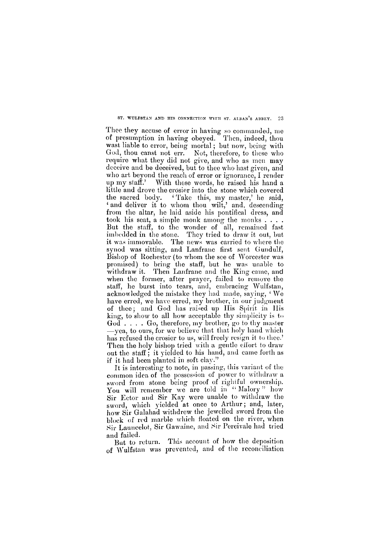#### **s t . Wulfsta n an d hi s connectio n wit h st . alban' s abbey . 23**

Thee they accuse of error in having so commanded, me of presumption in having obeyed. Then, indeed, thou wast liable to error, being mortal; but now, being with God, thou canst not err. Not, therefore, to these who require what they did not give, and who as men may deceive and be deceived, but to thee who hast given, and who art beyond the reach of error or ignorance, I render up my staff.' With these words, he raised his hand a little and drove the crosier into the stone which covered the sacred body. <sup>4</sup> Take this, my master,' he said, ' and deliver it to whom thou wilt,' and, descending from the altar, he laid aside his pontifical dress, and took his seat, a simple monk among the monks.... But the staff, to the wonder of all, remained fast imbedded in the stone. They tried to draw it out, but it was immovable. The news was carried to where the synod was sitting, and Lanfranc first sent Gundulf, Bishop of Rochester (to whom the see of Worcester was promised) to bring the staff, but he was unable to withdraw it. Then Lanfranc and the King came, and when the former, after prayer, failed to remove the staff, he burst into tears, and, embracing Wulfstan, acknowledged the mistake they had made, saying, <sup>4</sup> We have erred, we have erred, my brother, in our judgment of thee; and God has raised up His Spirit in His king, to show to all how acceptable thy simplicity is to God . . . . Go, therefore, my brother, go to thy master —yea, to ours, for we believe that that holy hand which has refused the crosier to us, will freely resign it to thee.' Then the holy bishop tried with a gentle effort to draw out the staff ; it yielded to his hand, and came forth as if it had been planted in soft clay."

It is interesting to note, in passing, this variant of the common idea of the possession of power to withdraw a sword from stone being proof of rightful ownership. You will remember we are told in "Malory" how Sir Ector and Sir Kay were unable to withdraw the sword, which yielded at once to Arthur; and, later, how Sir Galahad withdrew the jewelled sword from the block of red marble which floated on the river, when Sir Launcelot, Sir Gawaine, and Sir Percivale had tried and failed. But to return. This account of how the deposition of Wulfstan was prevented, and of the reconciliation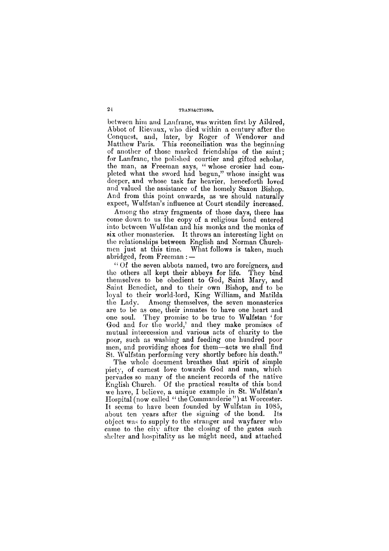between him and Lanfranc, was written first by Aildred, Abbot of Rievaux, who died within a century after the Conquest, and, later, by Roger of Wendover and Matthew Paris. This reconciliation was the beginning of another of those marked friendships of the saint; for Lanfranc, the polished courtier and gifted scholar, the man, as Freeman says, "whose crosier had completed what the sword had begun," whose insight was deeper, and whose task far heavier, henceforth loved and valued the assistance of the homely Saxon Bishop. And from this point onwards, as we should naturally expect, Wulfstan's influence at Court steadily increased.

Among the stray fragments of those days, there has come down to us the copy of a religious bond entered into between Wulfstan and his monks and the monks of six other monasteries. It throws an interesting light on the relationships between English and Norman Churchmen just at this time. What follows is taken, much abridged, from Freeman : —

" Of the seven abbots named, two are foreigners, and the others all kept their abbeys for life. They bind themselves to be obedient to God, Saint Mary, and Saint Benedict, and to their own Bishop, and to be loyal to their world-lord, King William, and Matilda the Lady. Among themselves, the seven monasteries are to be as one, their inmates to have one heart and one soul. They promise to be true to Wulfstan ' for God and for the world,' and they make promises of mutual intercession and various acts of charity to the poor, such as washing and feeding one hundred poor men, and providing shoes for them—acts we shall find St. Wulfstan performing very shortly before his death."

The whole document breathes that spirit of simple piety, of earnest love towards God and man, which pervades so many of the ancient records of the native English Church. Of the practical results of this bond we have, I believe, a unique example in St. Wulfstan's Hospital (now called "the Commanderie") at Worcester. It seems to have been founded by Wulfstan in 1085, about ten years after the signing of the bond. Its

object was to supply to the stranger and wayfarer who came to the city after the closing of the gates such shelter and hospitality as he might need, and attached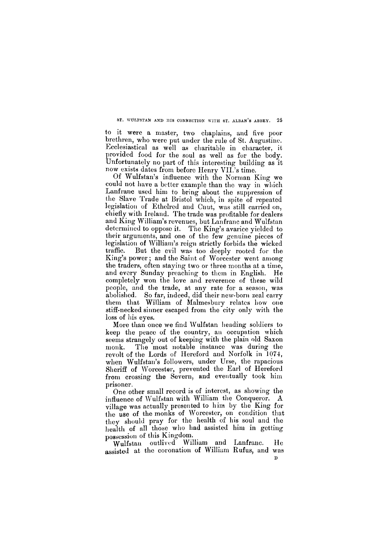#### ST. WULFSTAN AND HIS CONNECTION WITH ST. ALBAN'S ABBEY. 25

to it were a master, two chaplains, and five poor brethren, who were put under the rule of St. Augustine. Ecclesiastical as well as charitable in character, it provided food for the soul as well as for the body. Unfortunately no part of this interesting building as it now exists dates from before Henry VII.'s time.

Of Wulfstan's influence with the Norman King we could not have a better example than the way in which Lanfranc used him to bring about the suppression of the Slave Trade at Bristol which, in spite of repeated legislation of Ethelred and Cnut, was still carried on, chiefly with Ireland. The trade was profitable for dealers and King William's revenues, but Lanfranc and Wulfstan determined to oppose it. The King's avarice yielded to their arguments, and one of the few genuine pieces of legislation of William's reign strictly forbids the wicked traffic. But the evil was too deeply rooted for the King's power; and the Saint of Worcester went among the traders, often staying two or three months at a time, and every Sunday preaching to them in English. He completely won the love and reverence of these wild people, and the trade, at any rate for a season, was abolished. So far, indeed, did their new-born zeal carry them that William of Malmesbury relates how one stiff-necked sinner escaped from the city only with the loss of his eyes.

More than once we find Wulfstan heading soldiers to keep the peace of the country, an occupation which seems strangely out of keeping with the plain old Saxon monk. The most notable instance was during the revolt of the Lords of Hereford and Norfolk in 1074, when Wulfstan's followers, under Urse, the rapacious Sheriff of Worcester, prevented the Earl of Hereford from crossing the Severn, and eventually took him prisoner.

One other small record is of interest, as showing the influence of Wulfstan with William the Conqueror. A village was actually presented to him by the King for the use of the monks of Worcester, on condition that they should pray for the health of his soul and the health of all those who had assisted him in getting possession of this Kingdom. Wulfstan outlived William and Lanfranc. He assisted at the coronation of William Rufus, and was

 $\mathbf{D}$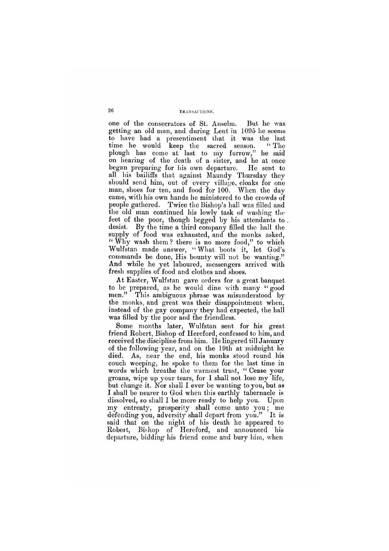one of the consecrators of St. Anselm. But he was getting an old man, and during Lent in 1095 he seems to have had a presentiment that it was the last time he would keep the sacred season. "The plough has come at last to my furrow," he said on hearing of the death of a sister, and he at once began preparing for his own departure. He sent to all his bailiffs that against Maundy Thursday they should send him, out of every village, cloaks for one man, shoes for ten, and food for 100. When the day came, with his own hands he ministered to the crowds of people gathered. Twice the Bishop's hall was filled and the old man continued his lowly task of washing the feet of the poor, though begged by his attendants to desist. By the time a third company filled the hall the supply of food was exhausted, and the monks asked, "Why wash them? there is no more food," to which Wulfstan made answer, "What boots it, let God's commands be done, His bounty will not be wanting." And while he yet laboured, messengers arrived with fresh supplies of food and clothes and shoes.

Some months later, Wulfstan sent for his great friend Robert, Bishop of Hereford, confessed to him, and received the discipline from him. He lingered till January of the following year, and on the 19th at midnight he died. As, near the end, his monks stood round his couch weeping, he spoke to them for the last time in words which breathe the warmest trust, "Cease your groans, wipe up your tears, for I shall not lose my life, but change it. Nor shall I ever be wanting to you, but as I shall be nearer to God when this earthly tabernacle is dissolved, so shall I be more ready to help you. Upon my entreaty, prosperity shall come unto you; me defending you, adversity shall depart from you." It is

At Easter, Wulfstan gave orders for a great banquet to be prepared, as he would dine with many "good men." This ambiguous phrase was misunderstood by the monks, and great was their disappointment when, instead of the gay company they had expected, the hall was filled by the poor and the friendless.

said that on the night of his death he appeared to Robert, Bishop of Hereford, and announced his departure, bidding his friend come and bury him, when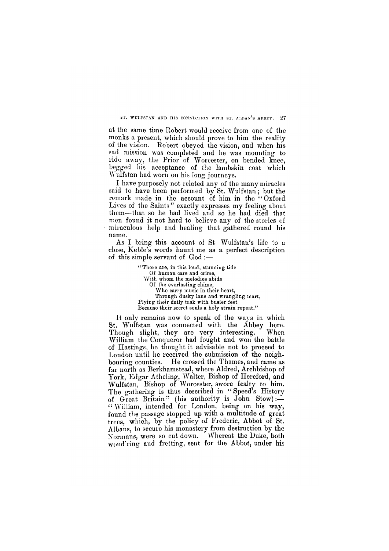**ST. WULFSTAN AND HIS CONNECTION WITH ST. ALBAN'S ABBEY. 27** 

at the same time Robert would receive from one of the monks a present, which should prove to him the reality of the vision. Robert obeyed the vision, and when his sad mission was completed and he was mounting to ride away, the Prior of Worcester, on bended knee, begged his acceptance of the lambskin coat which Wulfstan had worn on his long journeys.

As I bring this account of St. Wulfstan's life to a close, Keble's words haunt me as a perfect description of this simple servant of God :—

I have purposely not related any of the many miracles said to have been performed by St. Wulfstan; but the remark made in the account of him in the "Oxford" Lives of the Saints" exactly expresses my feeling about them—that so he had lived and so he had died that men found it not hard to believe any of the stories of miraculous help and healing that gathered round his name.

> **" There are, in this loud, stunning tide Of human care and crime, With whom the melodies abide Of the everlasting chime, Who carry music in their heart, Through dusky lane and wrangling mart, Plying their daily task with busier feet Because their secret souls a holy strain repeat."**

It only remains now to speak of the ways in which St. Wulfstan was connected with the Abbey here. Though slight, they are very interesting. When William the Conqueror had fought and won the battle of Hastings, he thought it advisable not to proceed to London until he received the submission of the neighbouring counties. He crossed the Thames, and came as far north as Berkhamstead, where Aldred, Archbishop of York, Edgar Atheling, Walter, Bishop of Hereford, and Wulfstan, Bishop of Worcester, swore fealty to him. The gathering is thus described in "Speed's History of Great Britain" (his authority is John Stow):— " William, intended for London, being on his way, found the passage stopped up with a multitude of great

trees, which, by the policy of Frederic, Abbot of St. Albans, to secure his monastery from destruction by the Normans, were so cut down. Whereat the Duke, both wond'ring and fretting, sent for the Abbot, under his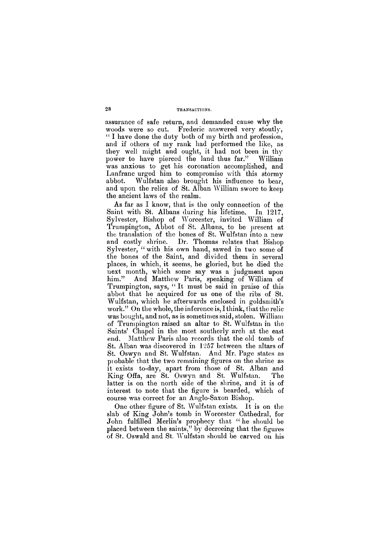assurance of safe return, and demanded cause why the woods were so cut. Frederic answered very stoutly, " I have done the duty both of my birth and profession, and if others of my rank had performed the like, as they well might and ought, it had not been in thy power to have pierced the land thus far." William was anxious to get his coronation accomplished, and Lanfranc urged him to compromise with this stormy abbot. Wulfstan also brought his influence to bear, and upon the relics of St. Alban William swore to keep the ancient laws of the realm.

John fulfilled Merlin's prophecy that " he should be placed between the saints," by decreeing that the figures of St. Oswald and St. Wulfstan should be carved on his

As far as I know, that is the only connection of the Saint with St. Albans during his lifetime. In 1217, Sylvester, Bishop of Worcester, invited William of Trumpington, Abbot of St. Albans, to be present at the translation of the bones of St. Wulfstan into a new and costly shrine. Dr. Thomas relates that Bishop Sylvester, "with his own hand, sawed in two some of the bones of the Saint, and divided them in several places, in which, it seems, he gloried, but he died the next month, which some say was a judgment upon him." And Matthew Paris, speaking of William of Trumpington, says, " It must be said in praise of this abbot that he acquired for us one of the ribs of St. Wulfstan, which he afterwards enclosed in goldsmith's work." On the whole, the inference is, I think, that the relic was bought, and not, as is sometimes said, stolen. William of Trumpington raised an altar to St. Wulfstan in the Saints' Chapel in the most southerly arch at the east end. Matthew Paris also records that the old tomb of St. Alban was discovered in 1257 between the altars of St. Oswyn and St. Wulfstan. And Mr. Page states as probable that the two remaining figures on the shrine as it exists to-day, apart from those of St. Alban and King Offa, are St. Oswyn and St. Wulfstan. The latter is on the north side of the shrine, and it is of interest to note that the figure is bearded, which of course was correct for an Anglo-Saxon Bishop.

One other figure of St. Wulfstan exists. It is on the slab of King John's tomb in Worcester Cathedral, for